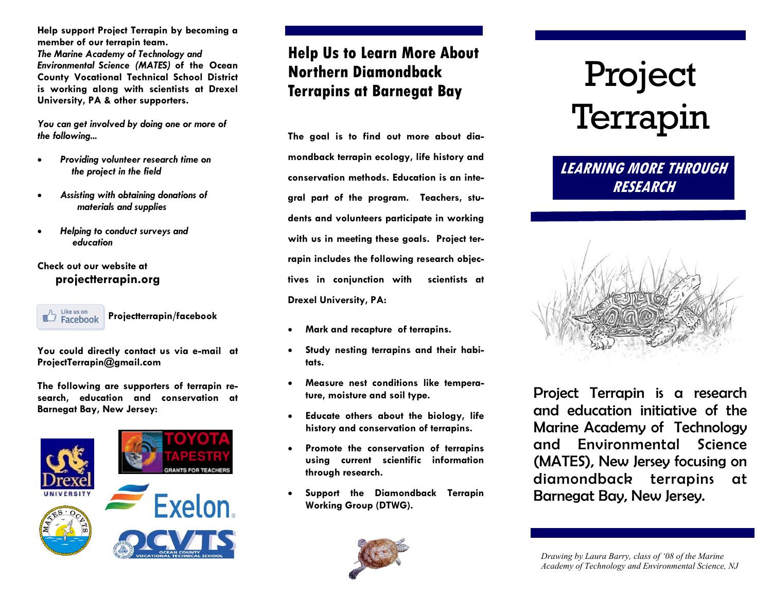**Help support Project Terrapin by becoming a member of our terrapin team.** *The Marine Academy of Technology and Environmental Science (MATES)* **of the Ocean County Vocational Technical School District is working along with scientists at Drexel University, PA & other supporters.** 

*You can get involved by doing one or more of the following...*

- *Providing volunteer research time on the project in the field*
- *Assisting with obtaining donations of materials and supplies*
- *Helping to conduct surveys and education*

#### **Check out our website at projectterrapin.org**



**Projectterrapin/facebook**

**You could directly contact us via e-mail at ProjectTerrapin@gmail.com**

**The following are supporters of terrapin research, education and conservation at Barnegat Bay, New Jersey:**



## **Help Us to Learn More About Northern Diamondback Terrapins at Barnegat Bay**

**The goal is to find out more about diamondback terrapin ecology, life history and conservation methods. Education is an integral part of the program. Teachers, students and volunteers participate in working with us in meeting these goals. Project terrapin includes the following research objectives in conjunction with scientists at Drexel University, PA:**

- **Mark and recapture of terrapins.**
- **Study nesting terrapins and their habitats.**
- **Measure nest conditions like temperature, moisture and soil type.**
- **Educate others about the biology, life history and conservation of terrapins.**
- **Promote the conservation of terrapins using current scientific information through research.**
- **Support the Diamondback Terrapin Working Group (DTWG).**



# Project Terrapin

## **LEARNING MORE THROUGH RESEARCH**



Project Terrapin is a research and education initiative of the Marine Academy of Technology and Environmental Science (MATES), New Jersey focusing on diamondback terrapins at Barnegat Bay, New Jersey.